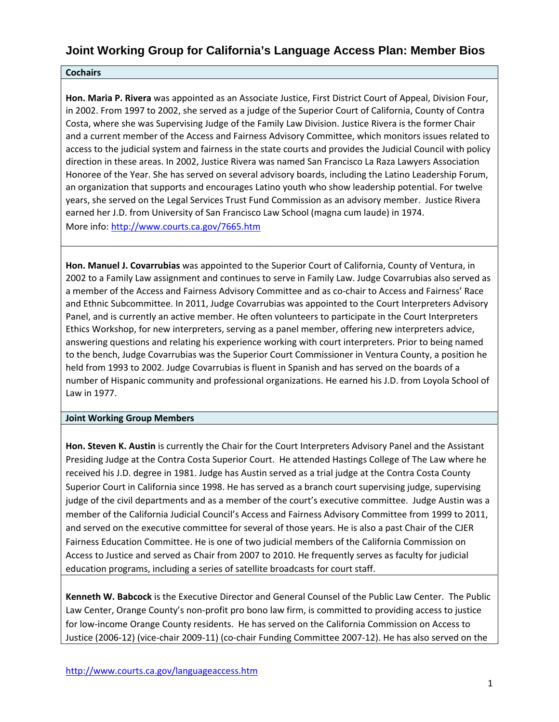#### **Cochairs**

**Hon. Maria P. Rivera** was appointed as an Associate Justice, First District Court of Appeal, Division Four, in 2002. From 1997 to 2002, she served as a judge of the Superior Court of California, County of Contra Costa, where she was Supervising Judge of the Family Law Division. Justice Rivera is the former Chair and a current member of the Access and Fairness Advisory Committee, which monitors issues related to access to the judicial system and fairness in the state courts and provides the Judicial Council with policy direction in these areas. In 2002, Justice Rivera was named San Francisco La Raza Lawyers Association Honoree of the Year. She has served on several advisory boards, including the Latino Leadership Forum, an organization that supports and encourages Latino youth who show leadership potential. For twelve years, she served on the Legal Services Trust Fund Commission as an advisory member. Justice Rivera earned her J.D. from University of San Francisco Law School (magna cum laude) in 1974. More info: http://www.courts.ca.gov/7665.htm

**Hon. Manuel J. Covarrubias** was appointed to the Superior Court of California, County of Ventura, in 2002 to a Family Law assignment and continues to serve in Family Law. Judge Covarrubias also served as a member of the Access and Fairness Advisory Committee and as co‐chair to Access and Fairness' Race and Ethnic Subcommittee. In 2011, Judge Covarrubias was appointed to the Court Interpreters Advisory Panel, and is currently an active member. He often volunteers to participate in the Court Interpreters Ethics Workshop, for new interpreters, serving as a panel member, offering new interpreters advice, answering questions and relating his experience working with court interpreters. Prior to being named to the bench, Judge Covarrubias was the Superior Court Commissioner in Ventura County, a position he held from 1993 to 2002. Judge Covarrubias is fluent in Spanish and has served on the boards of a number of Hispanic community and professional organizations. He earned his J.D. from Loyola School of Law in 1977.

#### **Joint Working Group Members**

**Hon. Steven K. Austin** is currently the Chair for the Court Interpreters Advisory Panel and the Assistant Presiding Judge at the Contra Costa Superior Court. He attended Hastings College of The Law where he received his J.D. degree in 1981. Judge has Austin served as a trial judge at the Contra Costa County Superior Court in California since 1998. He has served as a branch court supervising judge, supervising judge of the civil departments and as a member of the court's executive committee. Judge Austin was a member of the California Judicial Council's Access and Fairness Advisory Committee from 1999 to 2011, and served on the executive committee for several of those years. He is also a past Chair of the CJER Fairness Education Committee. He is one of two judicial members of the California Commission on Access to Justice and served as Chair from 2007 to 2010. He frequently serves as faculty for judicial education programs, including a series of satellite broadcasts for court staff.

**Kenneth W. Babcock** is the Executive Director and General Counsel of the Public Law Center. The Public Law Center, Orange County's non‐profit pro bono law firm, is committed to providing access to justice for low-income Orange County residents. He has served on the California Commission on Access to Justice (2006‐12) (vice‐chair 2009‐11) (co‐chair Funding Committee 2007‐12). He has also served on the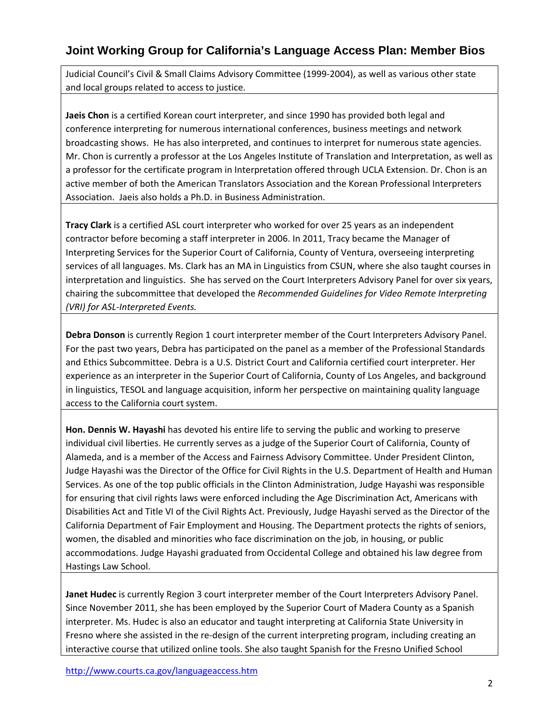Judicial Council's Civil & Small Claims Advisory Committee (1999‐2004), as well as various other state and local groups related to access to justice.

**Jaeis Chon** is a certified Korean court interpreter, and since 1990 has provided both legal and conference interpreting for numerous international conferences, business meetings and network broadcasting shows. He has also interpreted, and continues to interpret for numerous state agencies. Mr. Chon is currently a professor at the Los Angeles Institute of Translation and Interpretation, as well as a professor for the certificate program in Interpretation offered through UCLA Extension. Dr. Chon is an active member of both the American Translators Association and the Korean Professional Interpreters Association. Jaeis also holds a Ph.D. in Business Administration.

**Tracy Clark** is a certified ASL court interpreter who worked for over 25 years as an independent contractor before becoming a staff interpreter in 2006. In 2011, Tracy became the Manager of Interpreting Services for the Superior Court of California, County of Ventura, overseeing interpreting services of all languages. Ms. Clark has an MA in Linguistics from CSUN, where she also taught courses in interpretation and linguistics. She has served on the Court Interpreters Advisory Panel for over six years, chairing the subcommittee that developed the *Recommended Guidelines for Video Remote Interpreting (VRI) for ASL‐Interpreted Events.*

**Debra Donson** is currently Region 1 court interpreter member of the Court Interpreters Advisory Panel. For the past two years, Debra has participated on the panel as a member of the Professional Standards and Ethics Subcommittee. Debra is a U.S. District Court and California certified court interpreter. Her experience as an interpreter in the Superior Court of California, County of Los Angeles, and background in linguistics, TESOL and language acquisition, inform her perspective on maintaining quality language access to the California court system.

**Hon. Dennis W. Hayashi** has devoted his entire life to serving the public and working to preserve individual civil liberties. He currently serves as a judge of the Superior Court of California, County of Alameda, and is a member of the Access and Fairness Advisory Committee. Under President Clinton, Judge Hayashi was the Director of the Office for Civil Rights in the U.S. Department of Health and Human Services. As one of the top public officials in the Clinton Administration, Judge Hayashi was responsible for ensuring that civil rights laws were enforced including the Age Discrimination Act, Americans with Disabilities Act and Title VI of the Civil Rights Act. Previously, Judge Hayashi served as the Director of the California Department of Fair Employment and Housing. The Department protects the rights of seniors, women, the disabled and minorities who face discrimination on the job, in housing, or public accommodations. Judge Hayashi graduated from Occidental College and obtained his law degree from Hastings Law School.

**Janet Hudec** is currently Region 3 court interpreter member of the Court Interpreters Advisory Panel. Since November 2011, she has been employed by the Superior Court of Madera County as a Spanish interpreter. Ms. Hudec is also an educator and taught interpreting at California State University in Fresno where she assisted in the re-design of the current interpreting program, including creating an interactive course that utilized online tools. She also taught Spanish for the Fresno Unified School

http://www.courts.ca.gov/languageaccess.htm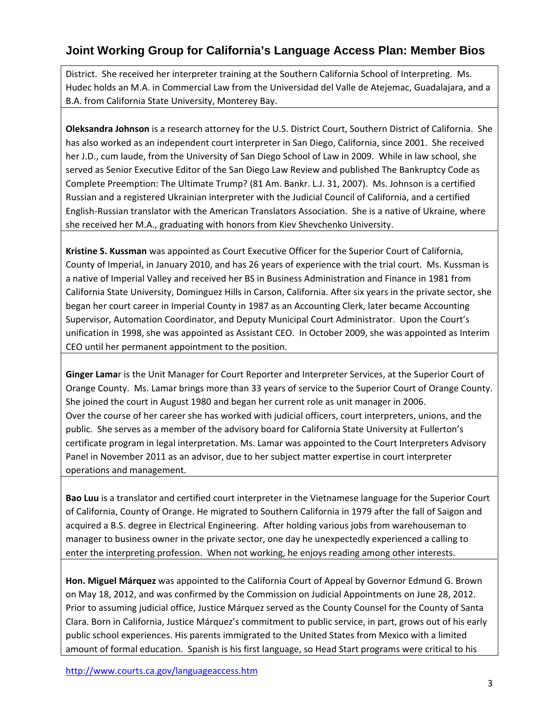District. She received her interpreter training at the Southern California School of Interpreting. Ms. Hudec holds an M.A. in Commercial Law from the Universidad del Valle de Atejemac, Guadalajara, and a B.A. from California State University, Monterey Bay.

**Oleksandra Johnson** is a research attorney for the U.S. District Court, Southern District of California. She has also worked as an independent court interpreter in San Diego, California, since 2001. She received her J.D., cum laude, from the University of San Diego School of Law in 2009. While in law school, she served as Senior Executive Editor of the San Diego Law Review and published The Bankruptcy Code as Complete Preemption: The Ultimate Trump? (81 Am. Bankr. L.J. 31, 2007). Ms. Johnson is a certified Russian and a registered Ukrainian interpreter with the Judicial Council of California, and a certified English‐Russian translator with the American Translators Association. She is a native of Ukraine, where she received her M.A., graduating with honors from Kiev Shevchenko University.

**Kristine S. Kussman** was appointed as Court Executive Officer for the Superior Court of California, County of Imperial, in January 2010, and has 26 years of experience with the trial court. Ms. Kussman is a native of Imperial Valley and received her BS in Business Administration and Finance in 1981 from California State University, Dominguez Hills in Carson, California. After six years in the private sector, she began her court career in Imperial County in 1987 as an Accounting Clerk, later became Accounting Supervisor, Automation Coordinator, and Deputy Municipal Court Administrator. Upon the Court's unification in 1998, she was appointed as Assistant CEO. In October 2009, she was appointed as Interim CEO until her permanent appointment to the position.

**Ginger Lama**r is the Unit Manager for Court Reporter and Interpreter Services, at the Superior Court of Orange County. Ms. Lamar brings more than 33 years of service to the Superior Court of Orange County. She joined the court in August 1980 and began her current role as unit manager in 2006. Over the course of her career she has worked with judicial officers, court interpreters, unions, and the public. She serves as a member of the advisory board for California State University at Fullerton's certificate program in legal interpretation. Ms. Lamar was appointed to the Court Interpreters Advisory Panel in November 2011 as an advisor, due to her subject matter expertise in court interpreter operations and management.

**Bao Luu** is a translator and certified court interpreter in the Vietnamese language for the Superior Court of California, County of Orange. He migrated to Southern California in 1979 after the fall of Saigon and acquired a B.S. degree in Electrical Engineering. After holding various jobs from warehouseman to manager to business owner in the private sector, one day he unexpectedly experienced a calling to enter the interpreting profession. When not working, he enjoys reading among other interests.

**Hon. Miguel Márquez** was appointed to the California Court of Appeal by Governor Edmund G. Brown on May 18, 2012, and was confirmed by the Commission on Judicial Appointments on June 28, 2012. Prior to assuming judicial office, Justice Márquez served as the County Counsel for the County of Santa Clara. Born in California, Justice Márquez's commitment to public service, in part, grows out of his early public school experiences. His parents immigrated to the United States from Mexico with a limited amount of formal education. Spanish is his first language, so Head Start programs were critical to his

http://www.courts.ca.gov/languageaccess.htm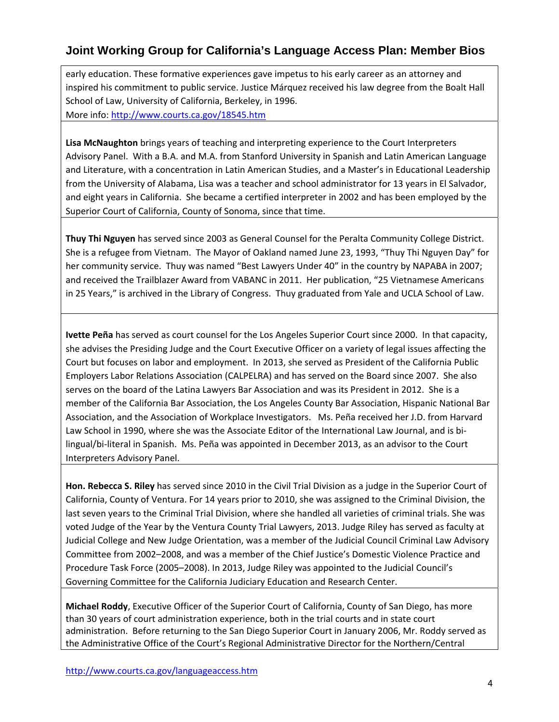early education. These formative experiences gave impetus to his early career as an attorney and inspired his commitment to public service. Justice Márquez received his law degree from the Boalt Hall School of Law, University of California, Berkeley, in 1996. More info: http://www.courts.ca.gov/18545.htm

**Lisa McNaughton** brings years of teaching and interpreting experience to the Court Interpreters Advisory Panel. With a B.A. and M.A. from Stanford University in Spanish and Latin American Language and Literature, with a concentration in Latin American Studies, and a Master's in Educational Leadership from the University of Alabama, Lisa was a teacher and school administrator for 13 years in El Salvador, and eight years in California. She became a certified interpreter in 2002 and has been employed by the Superior Court of California, County of Sonoma, since that time.

**Thuy Thi Nguyen** has served since 2003 as General Counsel for the Peralta Community College District. She is a refugee from Vietnam. The Mayor of Oakland named June 23, 1993, "Thuy Thi Nguyen Day" for her community service. Thuy was named "Best Lawyers Under 40" in the country by NAPABA in 2007; and received the Trailblazer Award from VABANC in 2011. Her publication, "25 Vietnamese Americans in 25 Years," is archived in the Library of Congress. Thuy graduated from Yale and UCLA School of Law.

**Ivette Peña** has served as court counsel for the Los Angeles Superior Court since 2000. In that capacity, she advises the Presiding Judge and the Court Executive Officer on a variety of legal issues affecting the Court but focuses on labor and employment. In 2013, she served as President of the California Public Employers Labor Relations Association (CALPELRA) and has served on the Board since 2007. She also serves on the board of the Latina Lawyers Bar Association and was its President in 2012. She is a member of the California Bar Association, the Los Angeles County Bar Association, Hispanic National Bar Association, and the Association of Workplace Investigators. Ms. Peña received her J.D. from Harvard Law School in 1990, where she was the Associate Editor of the International Law Journal, and is bi‐ lingual/bi-literal in Spanish. Ms. Peña was appointed in December 2013, as an advisor to the Court Interpreters Advisory Panel.

**Hon. Rebecca S. Riley** has served since 2010 in the Civil Trial Division as a judge in the Superior Court of California, County of Ventura. For 14 years prior to 2010, she was assigned to the Criminal Division, the last seven years to the Criminal Trial Division, where she handled all varieties of criminal trials. She was voted Judge of the Year by the Ventura County Trial Lawyers, 2013. Judge Riley has served as faculty at Judicial College and New Judge Orientation, was a member of the Judicial Council Criminal Law Advisory Committee from 2002–2008, and was a member of the Chief Justice's Domestic Violence Practice and Procedure Task Force (2005–2008). In 2013, Judge Riley was appointed to the Judicial Council's Governing Committee for the California Judiciary Education and Research Center.

**Michael Roddy**, Executive Officer of the Superior Court of California, County of San Diego, has more than 30 years of court administration experience, both in the trial courts and in state court administration. Before returning to the San Diego Superior Court in January 2006, Mr. Roddy served as the Administrative Office of the Court's Regional Administrative Director for the Northern/Central